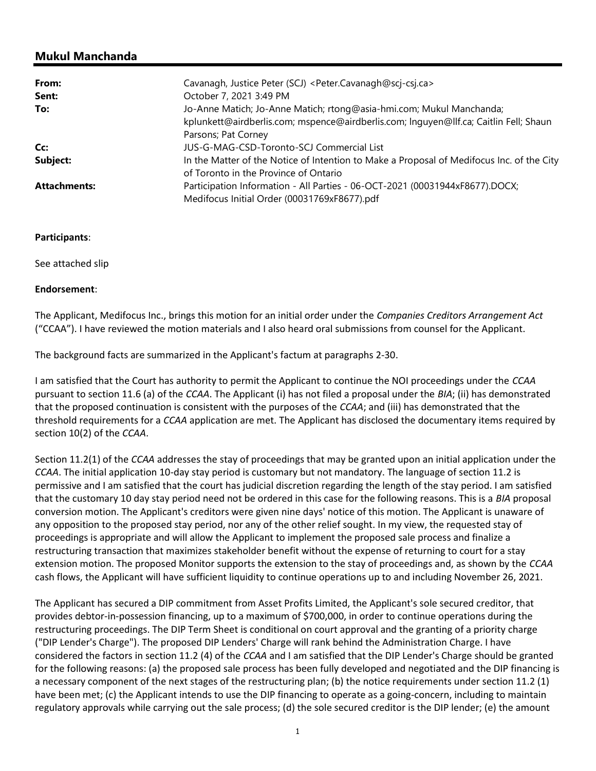## Mukul Manchanda

| From:               | Cavanagh, Justice Peter (SCJ) <peter.cavanagh@scj-csj.ca></peter.cavanagh@scj-csj.ca>     |
|---------------------|-------------------------------------------------------------------------------------------|
| Sent:               | October 7, 2021 3:49 PM                                                                   |
| To:                 | Jo-Anne Matich; Jo-Anne Matich; rtong@asia-hmi.com; Mukul Manchanda;                      |
|                     | kplunkett@airdberlis.com; mspence@airdberlis.com; Inquyen@llf.ca; Caitlin Fell; Shaun     |
|                     | Parsons; Pat Corney                                                                       |
| Cc:                 | JUS-G-MAG-CSD-Toronto-SCJ Commercial List                                                 |
| Subject:            | In the Matter of the Notice of Intention to Make a Proposal of Medifocus Inc. of the City |
|                     | of Toronto in the Province of Ontario                                                     |
| <b>Attachments:</b> | Participation Information - All Parties - 06-OCT-2021 (00031944xF8677).DOCX;              |
|                     | Medifocus Initial Order (00031769xF8677).pdf                                              |

## Participants:

See attached slip

Endorsement:

The Applicant, Medifocus Inc., brings this motion for an initial order under the Companies Creditors Arrangement Act ("CCAA"). I have reviewed the motion materials and I also heard oral submissions from counsel for the Applicant.

The background facts are summarized in the Applicant's factum at paragraphs 2-30.

I am satisfied that the Court has authority to permit the Applicant to continue the NOI proceedings under the CCAA pursuant to section 11.6 (a) of the CCAA. The Applicant (i) has not filed a proposal under the BIA; (ii) has demonstrated that the proposed continuation is consistent with the purposes of the CCAA; and (iii) has demonstrated that the threshold requirements for a CCAA application are met. The Applicant has disclosed the documentary items required by section 10(2) of the CCAA.

Section 11.2(1) of the CCAA addresses the stay of proceedings that may be granted upon an initial application under the CCAA. The initial application 10-day stay period is customary but not mandatory. The language of section 11.2 is permissive and I am satisfied that the court has judicial discretion regarding the length of the stay period. I am satisfied that the customary 10 day stay period need not be ordered in this case for the following reasons. This is a BIA proposal conversion motion. The Applicant's creditors were given nine days' notice of this motion. The Applicant is unaware of any opposition to the proposed stay period, nor any of the other relief sought. In my view, the requested stay of proceedings is appropriate and will allow the Applicant to implement the proposed sale process and finalize a restructuring transaction that maximizes stakeholder benefit without the expense of returning to court for a stay extension motion. The proposed Monitor supports the extension to the stay of proceedings and, as shown by the CCAA cash flows, the Applicant will have sufficient liquidity to continue operations up to and including November 26, 2021.

The Applicant has secured a DIP commitment from Asset Profits Limited, the Applicant's sole secured creditor, that provides debtor-in-possession financing, up to a maximum of \$700,000, in order to continue operations during the restructuring proceedings. The DIP Term Sheet is conditional on court approval and the granting of a priority charge ("DIP Lender's Charge"). The proposed DIP Lenders' Charge will rank behind the Administration Charge. I have considered the factors in section 11.2 (4) of the CCAA and I am satisfied that the DIP Lender's Charge should be granted for the following reasons: (a) the proposed sale process has been fully developed and negotiated and the DIP financing is a necessary component of the next stages of the restructuring plan; (b) the notice requirements under section 11.2 (1) have been met; (c) the Applicant intends to use the DIP financing to operate as a going-concern, including to maintain regulatory approvals while carrying out the sale process; (d) the sole secured creditor is the DIP lender; (e) the amount